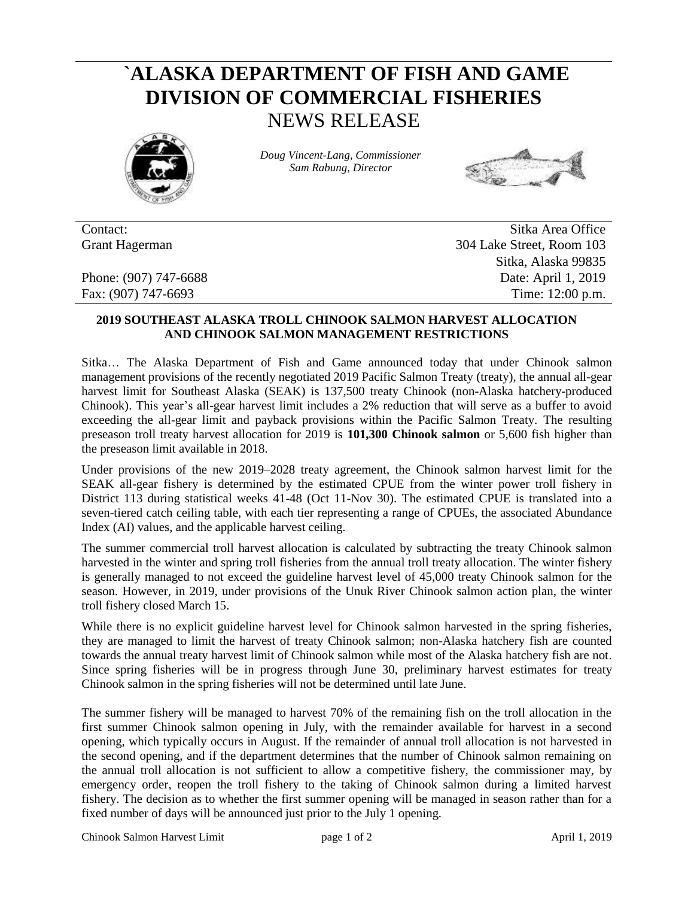## **`ALASKA DEPARTMENT OF FISH AND GAME DIVISION OF COMMERCIAL FISHERIES** NEWS RELEASE



*Doug Vincent-Lang, Commissioner Sam Rabung, Director*



Contact: Sitka Area Office Grant Hagerman 304 Lake Street, Room 103 Sitka, Alaska 99835 Phone: (907) 747-6688 Date: April 1, 2019 Fax: (907) 747-6693 Time: 12:00 p.m.

## **2019 SOUTHEAST ALASKA TROLL CHINOOK SALMON HARVEST ALLOCATION AND CHINOOK SALMON MANAGEMENT RESTRICTIONS**

Sitka… The Alaska Department of Fish and Game announced today that under Chinook salmon management provisions of the recently negotiated 2019 Pacific Salmon Treaty (treaty), the annual all-gear harvest limit for Southeast Alaska (SEAK) is 137,500 treaty Chinook (non-Alaska hatchery-produced Chinook). This year's all-gear harvest limit includes a 2% reduction that will serve as a buffer to avoid exceeding the all-gear limit and payback provisions within the Pacific Salmon Treaty. The resulting preseason troll treaty harvest allocation for 2019 is **101,300 Chinook salmon** or 5,600 fish higher than the preseason limit available in 2018.

Under provisions of the new 2019–2028 treaty agreement, the Chinook salmon harvest limit for the SEAK all-gear fishery is determined by the estimated CPUE from the winter power troll fishery in District 113 during statistical weeks 41-48 (Oct 11-Nov 30). The estimated CPUE is translated into a seven-tiered catch ceiling table, with each tier representing a range of CPUEs, the associated Abundance Index (AI) values, and the applicable harvest ceiling.

The summer commercial troll harvest allocation is calculated by subtracting the treaty Chinook salmon harvested in the winter and spring troll fisheries from the annual troll treaty allocation. The winter fishery is generally managed to not exceed the guideline harvest level of 45,000 treaty Chinook salmon for the season. However, in 2019, under provisions of the Unuk River Chinook salmon action plan, the winter troll fishery closed March 15.

While there is no explicit guideline harvest level for Chinook salmon harvested in the spring fisheries, they are managed to limit the harvest of treaty Chinook salmon; non-Alaska hatchery fish are counted towards the annual treaty harvest limit of Chinook salmon while most of the Alaska hatchery fish are not. Since spring fisheries will be in progress through June 30, preliminary harvest estimates for treaty Chinook salmon in the spring fisheries will not be determined until late June.

The summer fishery will be managed to harvest 70% of the remaining fish on the troll allocation in the first summer Chinook salmon opening in July, with the remainder available for harvest in a second opening, which typically occurs in August. If the remainder of annual troll allocation is not harvested in the second opening, and if the department determines that the number of Chinook salmon remaining on the annual troll allocation is not sufficient to allow a competitive fishery, the commissioner may, by emergency order, reopen the troll fishery to the taking of Chinook salmon during a limited harvest fishery. The decision as to whether the first summer opening will be managed in season rather than for a fixed number of days will be announced just prior to the July 1 opening.